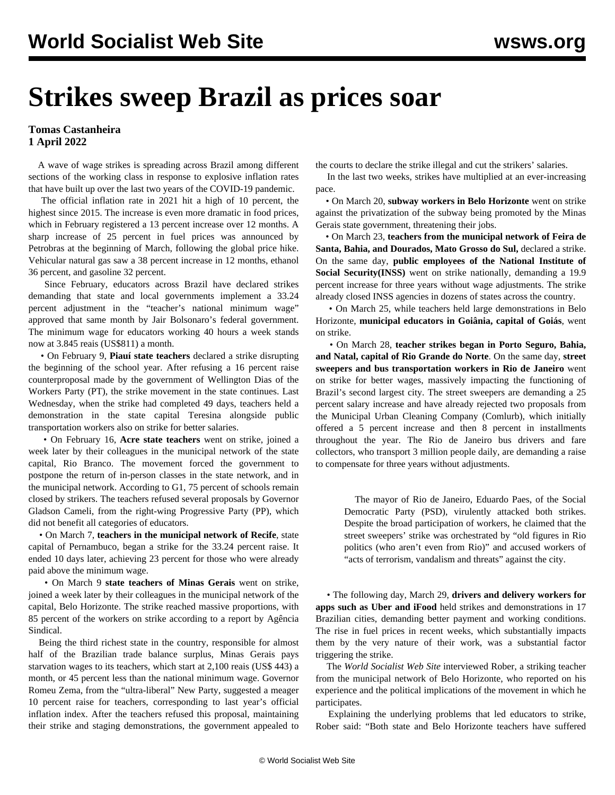## **Strikes sweep Brazil as prices soar**

**Tomas Castanheira 1 April 2022**

 A wave of wage strikes is spreading across Brazil among different sections of the working class in response to explosive inflation rates that have built up over the last two years of the COVID-19 pandemic.

 The official inflation rate in 2021 hit a high of 10 percent, the highest since 2015. The increase is even more dramatic in food prices, which in February registered a 13 percent increase over 12 months. A sharp increase of 25 percent in fuel prices was announced by Petrobras at the beginning of March, following the global price hike. Vehicular natural gas saw a 38 percent increase in 12 months, ethanol 36 percent, and gasoline 32 percent.

 Since February, educators across Brazil have declared strikes demanding that state and local governments implement a 33.24 percent adjustment in the "teacher's national minimum wage" approved that same month by Jair Bolsonaro's federal government. The minimum wage for educators working 40 hours a week stands now at 3.845 reais (US\$811) a month.

 • On February 9, **Piauí state teachers** declared a strike disrupting the beginning of the school year. After refusing a 16 percent raise counterproposal made by the government of Wellington Dias of the Workers Party (PT), the strike movement in the state continues. Last Wednesday, when the strike had completed 49 days, teachers held a demonstration in the state capital Teresina alongside public transportation workers also on strike for better salaries.

 • On February 16, **Acre state teachers** went on strike, joined a week later by their colleagues in the municipal network of the state capital, Rio Branco. The movement forced the government to postpone the return of in-person classes in the state network, and in the municipal network. According to G1, 75 percent of schools remain closed by strikers. The teachers refused several proposals by Governor Gladson Cameli, from the right-wing Progressive Party (PP), which did not benefit all categories of educators.

 • On March 7, **teachers in the municipal network of Recife**, state capital of Pernambuco, began a strike for the 33.24 percent raise. It ended 10 days later, achieving 23 percent for those who were already paid above the minimum wage.

 • On March 9 **state teachers of Minas Gerais** went on strike, joined a week later by their colleagues in the municipal network of the capital, Belo Horizonte. The strike reached massive proportions, with 85 percent of the workers on strike according to a report by Agência Sindical.

 Being the third richest state in the country, responsible for almost half of the Brazilian trade balance surplus, Minas Gerais pays starvation wages to its teachers, which start at 2,100 reais (US\$ 443) a month, or 45 percent less than the national minimum wage. Governor Romeu Zema, from the "ultra-liberal" New Party, suggested a meager 10 percent raise for teachers, corresponding to last year's official inflation index. After the teachers refused this proposal, maintaining their strike and staging demonstrations, the government appealed to

the courts to declare the strike illegal and cut the strikers' salaries.

 In the last two weeks, strikes have multiplied at an ever-increasing pace.

 • On March 20, **subway workers in Belo Horizonte** went on strike against the privatization of the subway being promoted by the Minas Gerais state government, threatening their jobs.

 • On March 23, **teachers from the municipal network of Feira de Santa, Bahia, and Dourados, Mato Grosso do Sul,** declared a strike. On the same day, **public employees of the National Institute of Social Security(INSS)** went on strike nationally, demanding a 19.9 percent increase for three years without wage adjustments. The strike already closed INSS agencies in dozens of states across the country.

 • On March 25, while teachers held large demonstrations in Belo Horizonte, **municipal educators in Goiânia, capital of Goiás**, went on strike.

 • On March 28, **teacher strikes began in Porto Seguro, Bahia, and Natal, capital of Rio Grande do Norte**. On the same day, **street sweepers and bus transportation workers in Rio de Janeiro** went on strike for better wages, massively impacting the functioning of Brazil's second largest city. The street sweepers are demanding a 25 percent salary increase and have already rejected two proposals from the Municipal Urban Cleaning Company (Comlurb), which initially offered a 5 percent increase and then 8 percent in installments throughout the year. The Rio de Janeiro bus drivers and fare collectors, who transport 3 million people daily, are demanding a raise to compensate for three years without adjustments.

> The mayor of Rio de Janeiro, Eduardo Paes, of the Social Democratic Party (PSD), virulently attacked both strikes. Despite the broad participation of workers, he claimed that the street sweepers' strike was orchestrated by "old figures in Rio politics (who aren't even from Rio)" and accused workers of "acts of terrorism, vandalism and threats" against the city.

 • The following day, March 29, **drivers and delivery workers for apps such as Uber and iFood** held strikes and demonstrations in 17 Brazilian cities, demanding better payment and working conditions. The rise in fuel prices in recent weeks, which substantially impacts them by the very nature of their work, was a substantial factor triggering the strike.

 The *World Socialist Web Site* interviewed Rober, a striking teacher from the municipal network of Belo Horizonte, who reported on his experience and the political implications of the movement in which he participates.

 Explaining the underlying problems that led educators to strike, Rober said: "Both state and Belo Horizonte teachers have suffered